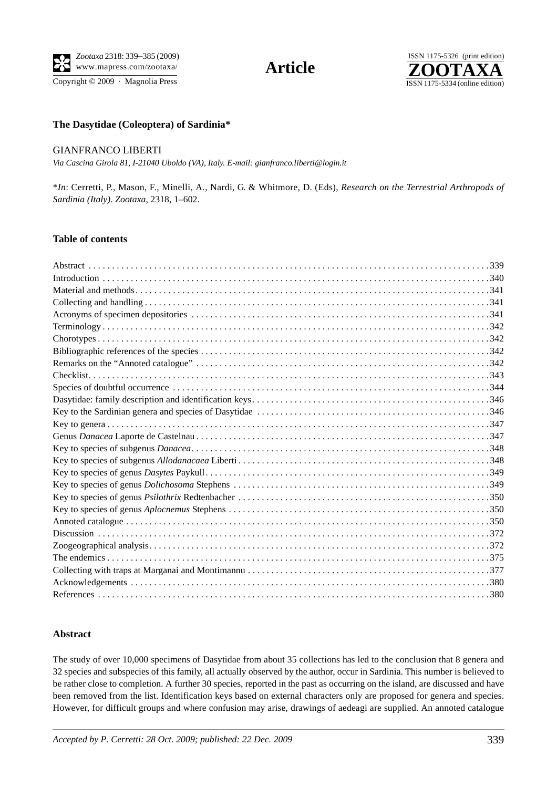Copyright  $\odot$  2009 · Magnolia Press



## **The Dasytidae (Coleoptera) of Sardinia\***

### GIANFRANCO LIBERTI

*Via Cascina Girola 81, I-21040 Uboldo (VA), Italy. E-mail: gianfranco.liberti@login.it*

\**In*: Cerretti, P., Mason, F., Minelli, A., Nardi, G. & Whitmore, D. (Eds), *Research on the Terrestrial Arthropods of Sardinia (Italy). Zootaxa*, 2318, 1–602.

### **Table of contents**

# **Abstract**

The study of over 10,000 specimens of Dasytidae from about 35 collections has led to the conclusion that 8 genera and 32 species and subspecies of this family, all actually observed by the author, occur in Sardinia. This number is believed to be rather close to completion. A further 30 species, reported in the past as occurring on the island, are discussed and have been removed from the list. Identification keys based on external characters only are proposed for genera and species. However, for difficult groups and where confusion may arise, drawings of aedeagi are supplied. An annoted catalogue